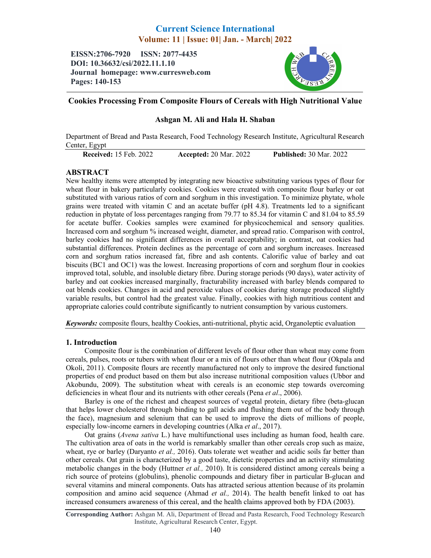# Current Science International Volume: 11 | Issue: 01| Jan. - March| 2022

EISSN:2706-7920 ISSN: 2077-4435 DOI: 10.36632/csi/2022.11.1.10 Journal homepage: www.curresweb.com Pages: 140-153



## Cookies Processing From Composite Flours of Cereals with High Nutritional Value

## Ashgan M. Ali and Hala H. Shaban

Department of Bread and Pasta Research, Food Technology Research Institute, Agricultural Research Center, Egypt

Received: 15 Feb. 2022 Accepted: 20 Mar. 2022 Published: 30 Mar. 2022

## ABSTRACT

New healthy items were attempted by integrating new bioactive substituting various types of flour for wheat flour in bakery particularly cookies. Cookies were created with composite flour barley or oat substituted with various ratios of corn and sorghum in this investigation. To minimize phytate, whole grains were treated with vitamin C and an acetate buffer (pH 4.8). Treatments led to a significant reduction in phytate of loss percentages ranging from 79.77 to 85.34 for vitamin C and 81.04 to 85.59 for acetate buffer. Cookies samples were examined for physicochemical and sensory qualities. Increased corn and sorghum % increased weight, diameter, and spread ratio. Comparison with control, barley cookies had no significant differences in overall acceptability; in contrast, oat cookies had substantial differences. Protein declines as the percentage of corn and sorghum increases. Increased corn and sorghum ratios increased fat, fibre and ash contents. Calorific value of barley and oat biscuits (BC1 and OC1) was the lowest. Increasing proportions of corn and sorghum flour in cookies improved total, soluble, and insoluble dietary fibre. During storage periods (90 days), water activity of barley and oat cookies increased marginally, fracturability increased with barley blends compared to oat blends cookies. Changes in acid and peroxide values of cookies during storage produced slightly variable results, but control had the greatest value. Finally, cookies with high nutritious content and appropriate calories could contribute significantly to nutrient consumption by various customers.

*Keywords:* composite flours, healthy Cookies, anti-nutritional, phytic acid, Organoleptic evaluation

## 1. Introduction

Composite flour is the combination of different levels of flour other than wheat may come from cereals, pulses, roots or tubers with wheat flour or a mix of flours other than wheat flour (Okpala and Okoli, 2011). Composite flours are recently manufactured not only to improve the desired functional properties of end product based on them but also increase nutritional composition values (Ubbor and Akobundu, 2009). The substitution wheat with cereals is an economic step towards overcoming deficiencies in wheat flour and its nutrients with other cereals (Pena *et al*., 2006).

Barley is one of the richest and cheapest sources of vegetal protein, dietary fibre (beta-glucan that helps lower cholesterol through binding to gall acids and flushing them out of the body through the face), magnesium and selenium that can be used to improve the diets of millions of people, especially low-income earners in developing countries (Alka *et al*., 2017).

Oat grains (*Avena sativa* L.) have multifunctional uses including as human food, health care. The cultivation area of oats in the world is remarkably smaller than other cereals crop such as maize, wheat, rye or barley (Daryanto *et al.,* 2016). Oats tolerate wet weather and acidic soils far better than other cereals. Oat grain is characterized by a good taste, dietetic properties and an activity stimulating metabolic changes in the body (Huttner *et al.,* 2010). It is considered distinct among cereals being a rich source of proteins (globulins), phenolic compounds and dietary fiber in particular B-glucan and several vitamins and mineral components. Oats has attracted serious attention because of its prolamin composition and amino acid sequence (Ahmad *et al.,* 2014). The health benefit linked to oat has increased consumers awareness of this cereal, and the health claims approved both by FDA (2003).

Corresponding Author: Ashgan M. Ali, Department of Bread and Pasta Research, Food Technology Research Institute, Agricultural Research Center, Egypt.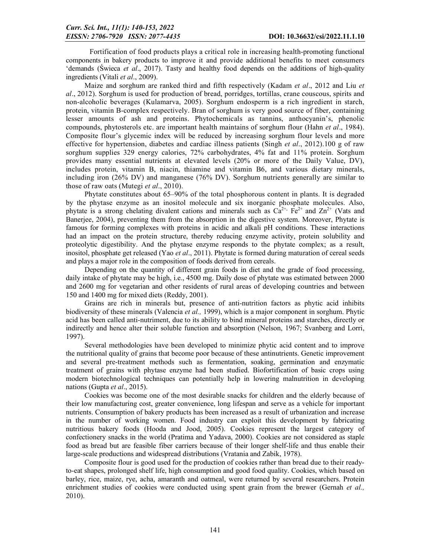Fortification of food products plays a critical role in increasing health-promoting functional components in bakery products to improve it and provide additional benefits to meet consumers 'demands (Świeca *et al*., 2017). Tasty and healthy food depends on the additions of high-quality ingredients (Vitali *et al*., 2009).

Maize and sorghum are ranked third and fifth respectively (Kadam *et al*., 2012 and Liu *et al*., 2012). Sorghum is used for production of bread, porridges, tortillas, crane couscous, spirits and non-alcoholic beverages (Kulamarva, 2005). Sorghum endosperm is a rich ingredient in starch, protein, vitamin B-complex respectively. Bran of sorghum is very good source of fiber, containing lesser amounts of ash and proteins. Phytochemicals as tannins, anthocyanin's, phenolic compounds, phytosterols etc. are important health maintains of sorghum flour (Hahn *et al*., 1984). Composite flour's glycemic index will be reduced by increasing sorghum flour levels and more effective for hypertension, diabetes and cardiac illness patients (Singh *et al*., 2012).100 g of raw sorghum supplies 329 energy calories, 72% carbohydrates, 4% fat and 11% protein. Sorghum provides many essential nutrients at elevated levels (20% or more of the Daily Value, DV), includes protein, vitamin B, niacin, thiamine and vitamin B6, and various dietary minerals, including iron (26% DV) and manganese (76% DV). Sorghum nutrients generally are similar to those of raw oats (Mutegi *et al*., 2010).

Phytate constitutes about 65–90% of the total phosphorous content in plants. It is degraded by the phytase enzyme as an inositol molecule and six inorganic phosphate molecules. Also, phytate is a strong chelating divalent cations and minerals such as  $Ca^{2+}$ ,  $Fe^{2+}$  and  $Zn^{2+}$  (Vats and Banerjee, 2004), preventing them from the absorption in the digestive system. Moreover, Phytate is famous for forming complexes with proteins in acidic and alkali pH conditions. These interactions had an impact on the protein structure, thereby reducing enzyme activity, protein solubility and proteolytic digestibility. And the phytase enzyme responds to the phytate complex; as a result, inositol, phosphate get released (Yao *et al*., 2011). Phytate is formed during maturation of cereal seeds and plays a major role in the composition of foods derived from cereals.

Depending on the quantity of different grain foods in diet and the grade of food processing, daily intake of phytate may be high, i.e., 4500 mg. Daily dose of phytate was estimated between 2000 and 2600 mg for vegetarian and other residents of rural areas of developing countries and between 150 and 1400 mg for mixed diets (Reddy, 2001).

Grains are rich in minerals but, presence of anti-nutrition factors as phytic acid inhibits biodiversity of these minerals (Valencia *et al.,* 1999), which is a major component in sorghum. Phytic acid has been called anti-nutriment, due to its ability to bind mineral proteins and starches, directly or indirectly and hence alter their soluble function and absorption (Nelson, 1967; Svanberg and Lorri, 1997).

Several methodologies have been developed to minimize phytic acid content and to improve the nutritional quality of grains that become poor because of these antinutrients. Genetic improvement and several pre-treatment methods such as fermentation, soaking, germination and enzymatic treatment of grains with phytase enzyme had been studied. Biofortification of basic crops using modern biotechnological techniques can potentially help in lowering malnutrition in developing nations (Gupta *et al*., 2015).

Cookies was become one of the most desirable snacks for children and the elderly because of their low manufacturing cost, greater convenience, long lifespan and serve as a vehicle for important nutrients. Consumption of bakery products has been increased as a result of urbanization and increase in the number of working women. Food industry can exploit this development by fabricating nutritious bakery foods (Hooda and Jood, 2005). Cookies represent the largest category of confectionery snacks in the world (Pratima and Yadava, 2000). Cookies are not considered as staple food as bread but are feasible fiber carriers because of their longer shelf-life and thus enable their large-scale productions and widespread distributions (Vratania and Zabik, 1978).

Composite flour is good used for the production of cookies rather than bread due to their readyto-eat shapes, prolonged shelf life, high consumption and good food quality. Cookies, which based on barley, rice, maize, rye, acha, amaranth and oatmeal, were returned by several researchers. Protein enrichment studies of cookies were conducted using spent grain from the brewer (Gernah *et al.*, 2010).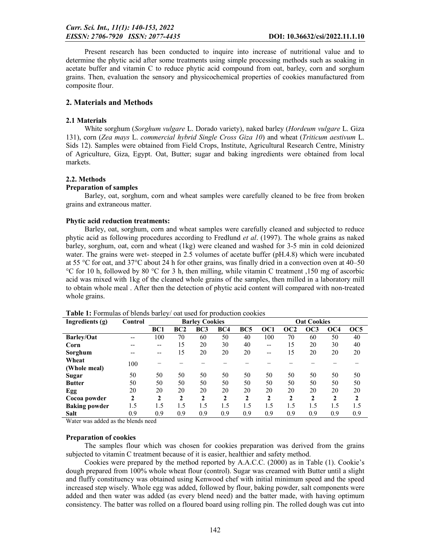Present research has been conducted to inquire into increase of nutritional value and to determine the phytic acid after some treatments using simple processing methods such as soaking in acetate buffer and vitamin C to reduce phytic acid compound from oat, barley, corn and sorghum grains. Then, evaluation the sensory and physicochemical properties of cookies manufactured from composite flour.

## 2. Materials and Methods

#### 2.1 Materials

White sorghum (*Sorghum vulgare* L. Dorado variety), naked barley (*Hordeum vulgare* L. Giza 131), corn (*Zea mays* L. *commercial hybrid Single Cross Giza 10*) and wheat (*Triticum aestivum* L. Sids 12). Samples were obtained from Field Crops, Institute, Agricultural Research Centre, Ministry of Agriculture, Giza, Egypt. Oat, Butter; sugar and baking ingredients were obtained from local markets.

#### 2.2. Methods

#### Preparation of samples

Barley, oat, sorghum, corn and wheat samples were carefully cleaned to be free from broken grains and extraneous matter.

#### Phytic acid reduction treatments:

Barley, oat, sorghum, corn and wheat samples were carefully cleaned and subjected to reduce phytic acid as following procedures according to Fredlund *et al*. (1997). The whole grains as naked barley, sorghum, oat, corn and wheat (1kg) were cleaned and washed for 3-5 min in cold deionized water. The grains were wet- steeped in 2.5 volumes of acetate buffer (pH.4.8) which were incubated at 55 °C for oat, and 37°C about 24 h for other grains, was finally dried in a convection oven at 40–50 °C for 10 h, followed by 80 °C for 3 h, then milling, while vitamin C treatment ,150 mg of ascorbic acid was mixed with 1kg of the cleaned whole grains of the samples, then milled in a laboratory mill to obtain whole meal . After then the detection of phytic acid content will compared with non-treated whole grains.

| Ingredients (g)      | Control      |              |             | <b>Barley Cookies</b> |     |                 |     |                 | <b>Oat Cookies</b> |                 |     |
|----------------------|--------------|--------------|-------------|-----------------------|-----|-----------------|-----|-----------------|--------------------|-----------------|-----|
|                      |              | BC1          | BC2         | BC3                   | BC4 | BC <sub>5</sub> | OC1 | OC <sub>2</sub> | OC3                | OC <sub>4</sub> | OC5 |
| <b>Barley/Oat</b>    | --           | 100          | 70          | 60                    | 50  | 40              | 100 | 70              | 60                 | 50              | 40  |
| Corn                 |              | --           | 15          | 20                    | 30  | 40              | --  | 15              | 20                 | 30              | 40  |
| Sorghum              |              | --           | 15          | 20                    | 20  | 20              | --  | 15              | 20                 | 20              | 20  |
| Wheat                | 100          |              |             |                       |     |                 |     |                 |                    |                 |     |
| (Whole meal)         |              |              |             |                       |     |                 |     |                 |                    |                 |     |
| <b>Sugar</b>         | 50           | 50           | 50          | 50                    | 50  | 50              | 50  | 50              | 50                 | 50              | 50  |
| <b>Butter</b>        | 50           | 50           | 50          | 50                    | 50  | 50              | 50  | 50              | 50                 | 50              | 50  |
| Egg                  | 20           | 20           | 20          | 20                    | 20  | 20              | 20  | 20              | 20                 | 20              | 20  |
| Cocoa powder         | $\mathbf{2}$ | $\mathbf{2}$ | $\mathbf 2$ | 2                     | 2   | 2               | 2   | 2               | $\mathbf 2$        | 2               | 2   |
| <b>Baking powder</b> | 1.5          | 1.5          | 1.5         | 1.5                   | 1.5 | 1.5             | 1.5 | 1.5             | 1.5                | 1.5             | 1.5 |
| <b>Salt</b>          | 0.9          | 0.9          | 0.9         | 0.9                   | 0.9 | 0.9             | 0.9 | 0.9             | 0.9                | 0.9             | 0.9 |

Table 1: Formulas of blends barley/ oat used for production cookies

Water was added as the blends need

#### Preparation of cookies

The samples flour which was chosen for cookies preparation was derived from the grains subjected to vitamin C treatment because of it is easier, healthier and safety method.

Cookies were prepared by the method reported by A.A.C.C. (2000) as in Table (1). Cookie's dough prepared from 100% whole wheat flour (control). Sugar was creamed with Butter until a slight and fluffy constituency was obtained using Kenwood chef with initial minimum speed and the speed increased step wisely. Whole egg was added, followed by flour, baking powder, salt components were added and then water was added (as every blend need) and the batter made, with having optimum consistency. The batter was rolled on a floured board using rolling pin. The rolled dough was cut into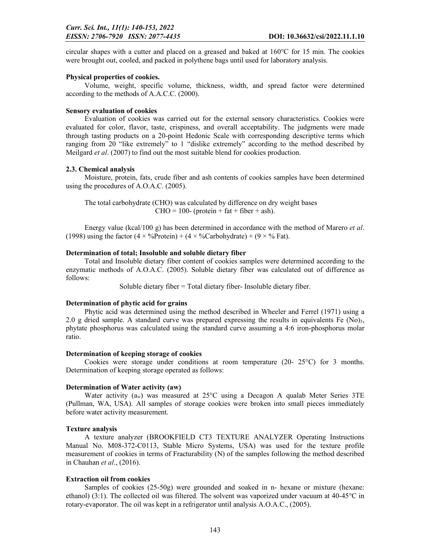circular shapes with a cutter and placed on a greased and baked at 160°C for 15 min. The cookies were brought out, cooled, and packed in polythene bags until used for laboratory analysis.

#### Physical properties of cookies.

Volume, weight, specific volume, thickness, width, and spread factor were determined according to the methods of A.A.C.C. (2000).

#### Sensory evaluation of cookies

Evaluation of cookies was carried out for the external sensory characteristics. Cookies were evaluated for color, flavor, taste, crispiness, and overall acceptability. The judgments were made through tasting products on a 20-point Hedonic Scale with corresponding descriptive terms which ranging from 20 "like extremely" to 1 "dislike extremely" according to the method described by Meilgard *et al*. (2007) to find out the most suitable blend for cookies production.

#### 2.3. Chemical analysis

Moisture, protein, fats, crude fiber and ash contents of cookies samples have been determined using the procedures of A.O.A.C. (2005).

The total carbohydrate (CHO) was calculated by difference on dry weight bases  $CHO = 100-$  (protein + fat + fiber + ash).

Energy value (kcal/100 g) has been determined in accordance with the method of Marero *et al*. (1998) using the factor  $(4 \times \%$ Protein) +  $(4 \times \%$ Carbohydrate) +  $(9 \times \%$  Fat).

#### Determination of total; Insoluble and soluble dietary fiber

Total and Insoluble dietary fiber content of cookies samples were determined according to the enzymatic methods of A.O.A.C. (2005). Soluble dietary fiber was calculated out of difference as follows:

Soluble dietary fiber = Total dietary fiber- Insoluble dietary fiber.

#### Determination of phytic acid for grains

Phytic acid was determined using the method described in Wheeler and Ferrel (1971) using a 2.0 g dried sample. A standard curve was prepared expressing the results in equivalents Fe  $(No)_3$ , phytate phosphorus was calculated using the standard curve assuming a 4:6 iron-phosphorus molar ratio.

#### Determination of keeping storage of cookies

Cookies were storage under conditions at room temperature  $(20 - 25^{\circ}C)$  for 3 months. Determination of keeping storage operated as follows:

#### Determination of Water activity (aw)

Water activity  $(a_w)$  was measured at 25°C using a Decagon A qualab Meter Series 3TE (Pullman, WA, USA). All samples of storage cookies were broken into small pieces immediately before water activity measurement.

#### Texture analysis

A texture analyzer (BROOKFIELD CT3 TEXTURE ANALYZER Operating Instructions Manual No. M08-372-C0113, Stable Micro Systems, USA) was used for the texture profile measurement of cookies in terms of Fracturability (N) of the samples following the method described in Chauhan *et al*., (2016).

#### Extraction oil from cookies

Samples of cookies (25-50g) were grounded and soaked in n- hexane or mixture (hexane: ethanol) (3:1). The collected oil was filtered. The solvent was vaporized under vacuum at 40-45°C in rotary-evaporator. The oil was kept in a refrigerator until analysis A.O.A.C., (2005).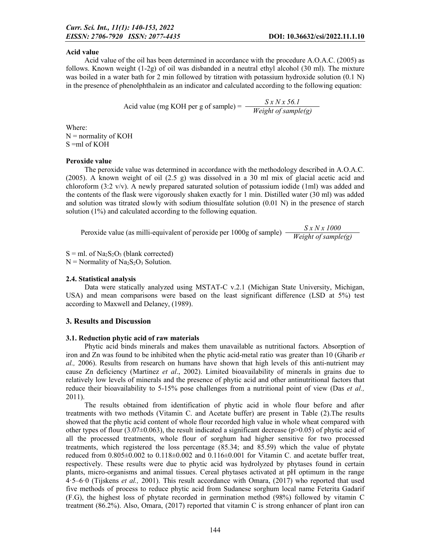#### Acid value

Acid value of the oil has been determined in accordance with the procedure A.O.A.C. (2005) as follows. Known weight (1-2g) of oil was disbanded in a neutral ethyl alcohol (30 ml). The mixture was boiled in a water bath for 2 min followed by titration with potassium hydroxide solution (0.1 N) in the presence of phenolphthalein as an indicator and calculated according to the following equation:

Acid value (mg KOH per g of sample) <sup>=</sup> *S x N x 56.1 Weight of sample(g)*

Where:  $N =$  normality of KOH S =ml of KOH

#### Peroxide value

The peroxide value was determined in accordance with the methodology described in A.O.A.C. (2005). A known weight of oil (2.5 g) was dissolved in a 30 ml mix of glacial acetic acid and chloroform (3:2 v/v). A newly prepared saturated solution of potassium iodide (1ml) was added and the contents of the flask were vigorously shaken exactly for 1 min. Distilled water (30 ml) was added and solution was titrated slowly with sodium thiosulfate solution (0.01 N) in the presence of starch solution (1%) and calculated according to the following equation.

Peroxide value (as milli-equivalent of peroxide per 1000g of sample) *S x N x 1000 Weight of sample(g)*

 $S = ml$ . of  $Na<sub>2</sub>S<sub>2</sub>O<sub>3</sub>$  (blank corrected)  $N =$  Normality of Na<sub>2</sub>S<sub>2</sub>O<sub>3</sub> Solution.

#### 2.4. Statistical analysis

Data were statically analyzed using MSTAT-C v.2.1 (Michigan State University, Michigan, USA) and mean comparisons were based on the least significant difference (LSD at 5%) test according to Maxwell and Delaney, (1989).

#### 3. Results and Discussion

#### 3.1. Reduction phytic acid of raw materials

Phytic acid binds minerals and makes them unavailable as nutritional factors. Absorption of iron and Zn was found to be inhibited when the phytic acid-metal ratio was greater than 10 (Gharib *et al.,* 2006). Results from research on humans have shown that high levels of this anti-nutrient may cause Zn deficiency (Martinez *et al*., 2002). Limited bioavailability of minerals in grains due to relatively low levels of minerals and the presence of phytic acid and other antinutritional factors that reduce their bioavailability to 5-15% pose challenges from a nutritional point of view (Das *et al.,*  2011).

The results obtained from identification of phytic acid in whole flour before and after treatments with two methods (Vitamin C. and Acetate buffer) are present in Table (2).The results showed that the phytic acid content of whole flour recorded high value in whole wheat compared with other types of flour (3.07 $\pm$ 0.063), the result indicated a significant decrease (p>0.05) of phytic acid of all the processed treatments, whole flour of sorghum had higher sensitive for two processed treatments, which registered the loss percentage (85.34; and 85.59) which the value of phytate reduced from  $0.805\pm0.002$  to  $0.118\pm0.002$  and  $0.116\pm0.001$  for Vitamin C. and acetate buffer treat, respectively. These results were due to phytic acid was hydrolyzed by phytases found in certain plants, micro-organisms and animal tissues. Cereal phytases activated at pH optimum in the range 4·5–6·0 (Tijskens *et al.,* 2001). This result accordance with Omara, (2017) who reported that used five methods of process to reduce phytic acid from Sudanese sorghum local name Feterita Gadarif (F.G), the highest loss of phytate recorded in germination method (98%) followed by vitamin C treatment (86.2%). Also, Omara, (2017) reported that vitamin C is strong enhancer of plant iron can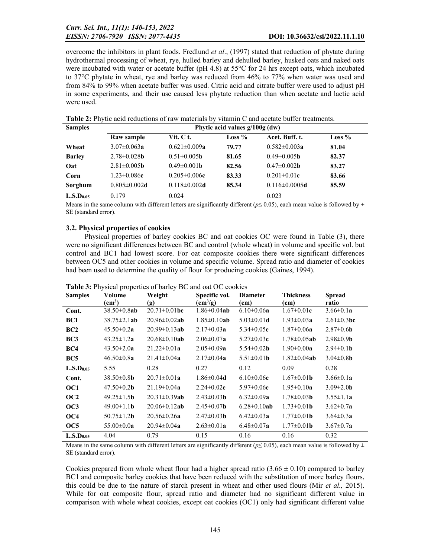overcome the inhibitors in plant foods. Fredlund *et al*., (1997) stated that reduction of phytate during hydrothermal processing of wheat, rye, hulled barley and dehulled barley, husked oats and naked oats were incubated with water or acetate buffer (pH 4.8) at 55°C for 24 hrs except oats, which incubated to 37°C phytate in wheat, rye and barley was reduced from 46% to 77% when water was used and from 84% to 99% when acetate buffer was used. Citric acid and citrate buffer were used to adjust pH in some experiments, and their use caused less phytate reduction than when acetate and lactic acid were used.

| <b>Samples</b>        | Phytic acid values $g/100g$ (dw) |                           |          |                           |          |  |  |  |
|-----------------------|----------------------------------|---------------------------|----------|---------------------------|----------|--|--|--|
|                       | Raw sample                       | Vit. C t.                 | Loss $%$ | Acet. Buff. t.            | Loss $%$ |  |  |  |
| Wheat                 | $3.07 \pm 0.063a$                | $0.621 \pm 0.009a$        | 79.77    | $0.582 \pm 0.003a$        | 81.04    |  |  |  |
| <b>Barley</b>         | $2.78\pm0.028$ <b>b</b>          | $0.51 \pm 0.005$ <b>b</b> | 81.65    | $0.49 \pm 0.005$ <b>b</b> | 82.37    |  |  |  |
| Oat                   | $2.81 \pm 0.005$ <b>b</b>        | $0.49 \pm 0.001$ b        | 82.56    | $0.47 \pm 0.002$ <b>b</b> | 83.27    |  |  |  |
| Corn                  | $1.23 \pm 0.086c$                | $0.205 \pm 0.006c$        | 83.33    | $0.201 \pm 0.01c$         | 83.66    |  |  |  |
| Sorghum               | $0.805 \pm 0.002$ d              | $0.118 \pm 0.002$ d       | 85.34    | $0.116 \pm 0.0005$ d      | 85.59    |  |  |  |
| L.S.D <sub>0.05</sub> | 0.179                            | 0.024                     |          | 0.023                     |          |  |  |  |

Table 2: Phytic acid reductions of raw materials by vitamin C and acetate buffer treatments.

Means in the same column with different letters are significantly different ( $p \le 0.05$ ), each mean value is followed by  $\pm$ SE (standard error).

## 3.2. Physical properties of cookies

Physical properties of barley cookies BC and oat cookies OC were found in Table (3), there were no significant differences between BC and control (whole wheat) in volume and specific vol. but control and BC1 had lowest score. For oat composite cookies there were significant differences between OC5 and other cookies in volume and specific volume. Spread ratio and diameter of cookies had been used to determine the quality of flour for producing cookies (Gaines, 1994).

| <b>Samples</b>        | Volume                   | Weight              | Specific vol.            | <b>Diameter</b>          | <b>Thickness</b>         | <b>Spread</b>           |
|-----------------------|--------------------------|---------------------|--------------------------|--------------------------|--------------------------|-------------------------|
|                       | (cm <sup>3</sup> )       | (g)                 | $\text{(cm}^3/\text{g})$ | (cm)                     | (cm)                     | ratio                   |
| Cont.                 | $38.50 \pm 0.8$ ab       | $20.71 \pm 0.01$ bc | $1.86 \pm 0.04$ ab       | $6.10 \pm 0.06a$         | $1.67 \pm 0.01c$         | $3.66 \pm 0.1a$         |
| BC1                   | $38.75 \pm 2.1$ ab       | $20.96 \pm 0.02$ ab | $1.85 \pm 0.10$ ab       | $5.03 \pm 0.01$ d        | $1.93 \pm 0.03a$         | $2.61 \pm 0.3$ bc       |
| BC2                   | $45.50 \pm 0.2a$         | $20.99 \pm 0.13$ ab | $2.17 \pm 0.03a$         | 5.34 $\pm$ 0.05 $\bf{c}$ | $1.87 \pm 0.06a$         | $2.87 \pm 0.6$ <b>b</b> |
| BC <sub>3</sub>       | $43.25 \pm 1.2a$         | $20.68 \pm 0.10$ ab | $2.06 \pm 0.07a$         | $5.27 \pm 0.03c$         | $1.78 \pm 0.05$ ab       | $2.98 \pm 0.9$ <b>b</b> |
| BC4                   | $43.50 \pm 2.0a$         | $21.22 \pm 0.01a$   | $2.05 \pm 0.09a$         | 5.54 $\pm$ 0.02 <b>b</b> | $1.90 \pm 0.00a$         | $2.94 \pm 0.1$ <b>b</b> |
| BC <sub>5</sub>       | $46.50 \pm 0.8a$         | $21.41 \pm 0.04a$   | $2.17 \pm 0.04a$         | $5.51 \pm 0.01$ <b>b</b> | $1.82 \pm 0.04$ ab       | $3.04 \pm 0.8$ <b>b</b> |
| L.S.D <sub>0.05</sub> | 5.55                     | 0.28                | 0.27                     | 0.12                     | 0.09                     | 0.28                    |
| Cont.                 | $38.50 \pm 0.8$ <b>b</b> | $20.71 \pm 0.01a$   | $1.86 \pm 0.04$ d        | $6.10\pm0.06c$           | $1.67 \pm 0.01$ <b>b</b> | $3.66 \pm 0.1a$         |
| OC <sub>1</sub>       | $47.50 \pm 0.2$ <b>b</b> | $21.19 \pm 0.04a$   | $2.24 \pm 0.02c$         | $5.97 \pm 0.06c$         | $1.95 \pm 0.10a$         | $3.09 \pm 2.0$ <b>b</b> |
| OC2                   | $49.25 \pm 1.5$ <b>b</b> | $20.31 \pm 0.39$ ab | $2.43 \pm 0.03$ <b>b</b> | $6.32 \pm 0.09a$         | $1.78 \pm 0.03$ <b>b</b> | $3.55 \pm 1.1a$         |
| OC <sub>3</sub>       | $49.00 \pm 1.1$ <b>b</b> | $20.06 \pm 0.12$ ab | $2.45 \pm 0.07$ <b>b</b> | $6.28 \pm 0.10$ ab       | $1.73 \pm 0.01$ <b>b</b> | $3.62 \pm 0.7a$         |
| OC <sub>4</sub>       | 50.75 $\pm$ 1.2 <b>b</b> | $20.56 \pm 0.26a$   | $2.47 \pm 0.03$ <b>b</b> | $6.42 \pm 0.03a$         | $1.77 \pm 0.01$ <b>b</b> | $3.64 \pm 0.3a$         |
| OC <sub>5</sub>       | 55.00 $\pm$ 0.0a         | $20.94 \pm 0.04a$   | $2.63 \pm 0.01a$         | $6.48 \pm 0.07$ a        | $1.77 \pm 0.01$ <b>b</b> | $3.67 \pm 0.7a$         |
| L.S.D <sub>0.05</sub> | 4.04                     | 0.79                | 0.15                     | 0.16                     | 0.16                     | 0.32                    |

Table 3: Physical properties of barley BC and oat OC cookies

Means in the same column with different letters are significantly different ( $p≤ 0.05$ ), each mean value is followed by ± SE (standard error).

Cookies prepared from whole wheat flour had a higher spread ratio  $(3.66 \pm 0.10)$  compared to barley BC1 and composite barley cookies that have been reduced with the substitution of more barley flours, this could be due to the nature of starch present in wheat and other used flours (Mir *et al.,* 2015). While for oat composite flour, spread ratio and diameter had no significant different value in comparison with whole wheat cookies, except oat cookies (OC1) only had significant different value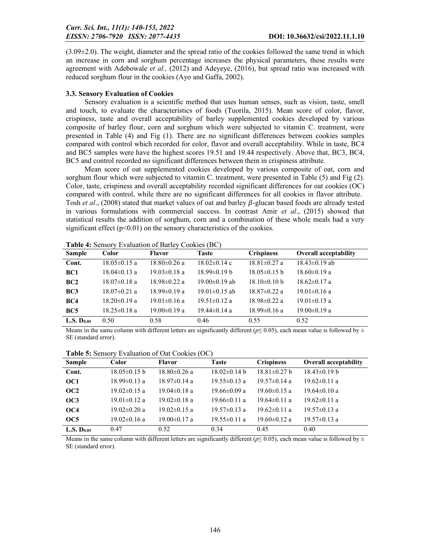$(3.09\pm2.0)$ . The weight, diameter and the spread ratio of the cookies followed the same trend in which an increase in corn and sorghum percentage increases the physical parameters, these results were agreement with Adebowale *et al.,* (2012) and Adeyeye, (2016), but spread ratio was increased with reduced sorghum flour in the cookies (Ayo and Gaffa, 2002).

## 3.3. Sensory Evaluation of Cookies

Sensory evaluation is a scientific method that uses human senses, such as vision, taste, smell and touch, to evaluate the characteristics of foods (Tuorila, 2015). Mean score of color, flavor, crispiness, taste and overall acceptability of barley supplemented cookies developed by various composite of barley flour, corn and sorghum which were subjected to vitamin C. treatment, were presented in Table (4) and Fig (1). There are no significant differences between cookies samples compared with control which recorded for color, flavor and overall acceptability. While in taste, BC4 and BC5 samples were have the highest scores 19.51 and 19.44 respectively. Above that, BC3, BC4, BC5 and control recorded no significant differences between them in crispiness attribute.

Mean score of oat supplemented cookies developed by various composite of oat, corn and sorghum flour which were subjected to vitamin C. treatment, were presented in Table (5) and Fig (2). Color, taste, crispiness and overall acceptability recorded significant differences for oat cookies (OC) compared with control, while there are no significant differences for all cookies in flavor attribute. Tosh *et al.*, (2008) stated that market values of oat and barley  $\beta$ -glucan based foods are already tested in various formulations with commercial success. In contrast Amir *et al*., (2015) showed that statistical results the addition of sorghum, corn and a combination of these whole meals had a very significant effect  $(p<0.01)$  on the sensory characteristics of the cookies.

|                        |                    | <b>THERE</b> If Densery Evaluation of Burley Cookies (BC) |                     |                    |                              |
|------------------------|--------------------|-----------------------------------------------------------|---------------------|--------------------|------------------------------|
| <b>Sample</b>          | <b>Color</b>       | Flavor                                                    | Taste               | <b>Crispiness</b>  | <b>Overall acceptability</b> |
| Cont.                  | $18.05 \pm 0.15$ a | $18.80 \pm 0.26$ a                                        | $18.02 \pm 0.14$ c  | $18.81 \pm 0.27$ a | $18.43 \pm 0.19$ ab          |
| BC1                    | $18.04 \pm 0.13$ a | $19.03 \pm 0.18$ a                                        | $18.99 \pm 0.19$ b  | $18.05 \pm 0.15$ b | $18.60 \pm 0.19$ a           |
| BC2                    | $18.07 \pm 0.18$ a | $18.98 \pm 0.22$ a                                        | $19.00 \pm 0.19$ ab | $18.10\pm0.10 b$   | $18.62 \pm 0.17$ a           |
| BC3                    | $18.07 \pm 0.21$ a | $18.99 \pm 0.19$ a                                        | $19.01 \pm 0.15$ ab | $18.87 \pm 0.22$ a | $19.01 \pm 0.16$ a           |
| BC4                    | $18.20 \pm 0.19$ a | $19.01 \pm 0.16$ a                                        | $19.51 \pm 0.12$ a  | $18.98 \pm 0.22$ a | $19.01 \pm 0.15$ a           |
| BC <sub>5</sub>        | $18.25 \pm 0.18$ a | $19.00 \pm 0.19$ a                                        | $19.44 \pm 0.14$ a  | $18.99 \pm 0.16$ a | $19.00 \pm 0.19$ a           |
| L.S. D <sub>0.05</sub> | 0.50               | 0.58                                                      | 0.46                | 0.55               | 0.52                         |

Table 4: Sensory Evaluation of Barley Cookies (BC)

Means in the same column with different letters are significantly different ( $p \le 0.05$ ), each mean value is followed by  $\pm$ SE (standard error).

Table 5: Sensory Evaluation of Oat Cookies (OC)

| <b>Sample</b>          | Color              | Flavor             | Taste              | <b>Crispiness</b>  | <b>Overall acceptability</b> |
|------------------------|--------------------|--------------------|--------------------|--------------------|------------------------------|
| Cont.                  | $18.05 \pm 0.15$ b | $18.80\pm0.26$ a   | $18.02 \pm 0.14$ b | $18.81 \pm 0.27$ b | $18.43 \pm 0.19$ b           |
| OC <sub>1</sub>        | $18.99 \pm 0.13$ a | $18.97 \pm 0.14$ a | $19.55 \pm 0.13$ a | $19.57 \pm 0.14$ a | $19.62 \pm 0.11$ a           |
| OC2                    | $19.02 \pm 0.15$ a | $19.04\pm0.18$ a   | $19.66 \pm 0.09$ a | $19.60 \pm 0.15$ a | $19.64 \pm 0.10$ a           |
| OC3                    | $19.01 \pm 0.12$ a | $19.02\pm0.18$ a   | $19.66 \pm 0.11$ a | $19.64\pm0.11$ a   | $19.62 \pm 0.11$ a           |
| OC4                    | $19.02 \pm 0.20$ a | $19.02 \pm 0.15$ a | $19.57 \pm 0.13$ a | $19.62 \pm 0.11$ a | $19.57 \pm 0.13$ a           |
| OC5                    | $19.02 \pm 0.16$ a | $19.00 \pm 0.17$ a | $19.55 \pm 0.11$ a | $19.60 \pm 0.12$ a | $19.57 \pm 0.13$ a           |
| L.S. D <sub>0.05</sub> | 0.47               | 0.52               | 0.34               | 0.45               | 0.40                         |

Means in the same column with different letters are significantly different ( $p \le 0.05$ ), each mean value is followed by  $\pm$ SE (standard error).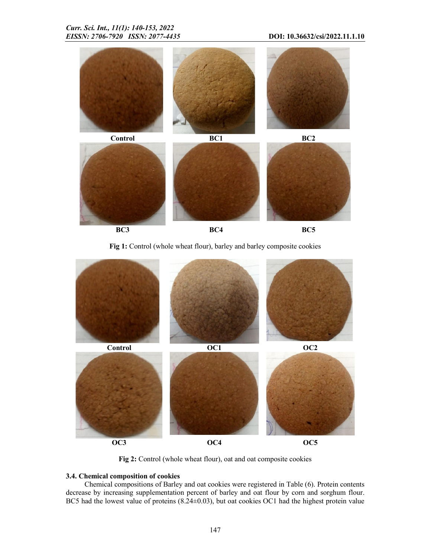

BC3 BC4 BC5

Fig 1: Control (whole wheat flour), barley and barley composite cookies



Fig 2: Control (whole wheat flour), oat and oat composite cookies

## 3.4. Chemical composition of cookies

Chemical compositions of Barley and oat cookies were registered in Table (6). Protein contents decrease by increasing supplementation percent of barley and oat flour by corn and sorghum flour. BC5 had the lowest value of proteins (8.24±0.03), but oat cookies OC1 had the highest protein value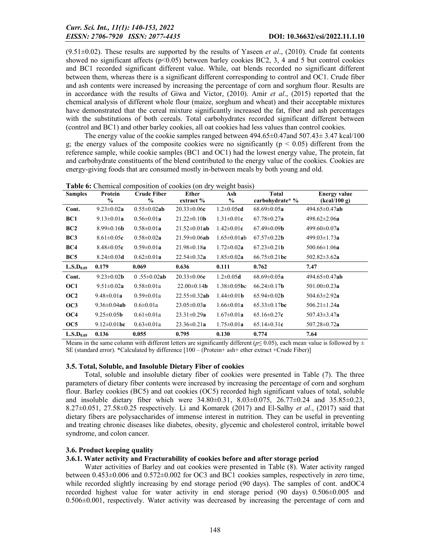(9.51±0.02). These results are supported by the results of Yaseen *et al*., (2010). Crude fat contents showed no significant affects ( $p<0.05$ ) between barley cookies BC2, 3, 4 and 5 but control cookies and BC1 recorded significant different value. While, oat blends recorded no significant different between them, whereas there is a significant different corresponding to control and OC1. Crude fiber and ash contents were increased by increasing the percentage of corn and sorghum flour. Results are in accordance with the results of Giwa and Victor, (2010). Amir *et al*., (2015) reported that the chemical analysis of different whole flour (maize, sorghum and wheat) and their acceptable mixtures have demonstrated that the cereal mixture significantly increased the fat, fiber and ash percentages with the substitutions of both cereals. Total carbohydrates recorded significant different between (control and BC1) and other barley cookies, all oat cookies had less values than control cookies.

The energy value of the cookie samples ranged between  $494.65 \pm 0.47$  and  $507.43 \pm 3.47$  kcal/100 g; the energy values of the composite cookies were no significantly ( $p \le 0.05$ ) different from the reference sample, while cookie samples (BC1 and OC1) had the lowest energy value, The protein, fat and carbohydrate constituents of the blend contributed to the energy value of the cookies. Cookies are energy-giving foods that are consumed mostly in-between meals by both young and old.

| Table 6: Chemical composition of cookies (on dry weight basis) |  |
|----------------------------------------------------------------|--|
|----------------------------------------------------------------|--|

| <b>Samples</b>        | Protein<br>$\frac{0}{0}$ | <b>Crude Fiber</b><br>$\%$ | Ether<br>extract %        | o<br>Ash<br>$\%$   | <b>Total</b><br>carbohydrate* % | <b>Energy value</b><br>(kcal/100 g) |
|-----------------------|--------------------------|----------------------------|---------------------------|--------------------|---------------------------------|-------------------------------------|
| Cont.                 | $9.23 \pm 0.02a$         | $0.55 \pm 0.02$ ab         | $20.33 \pm 0.06c$         | $1.2 \pm 0.05$ cd  | $68.69 \pm 0.05a$               | $494.65 \pm 0.47$ ab                |
| BC1                   | $9.13 \pm 0.01a$         | $0.56 \pm 0.01a$           | $21.22 \pm 0.10$ <b>b</b> | $1.31 \pm 0.01c$   | $67.78 \pm 0.27a$               | $498.62 \pm 2.06a$                  |
| BC2                   | $8.99 \pm 0.16$ <b>b</b> | $0.58 \pm 0.01a$           | $21.52 \pm 0.01$ ab       | $1.42 \pm 0.01c$   | $67.49 \pm 0.09$ <b>b</b>       | 499.60 $\pm$ 0.07a                  |
| BC <sub>3</sub>       | $8.61 \pm 0.05c$         | $0.58 \pm 0.02a$           | $21.59 \pm 0.06$ ab       | $1.65 \pm 0.01$ ab | $67.57 \pm 0.22$ <b>b</b>       | $499.03 \pm 1.73a$                  |
| BC4                   | $8.48 \pm 0.05c$         | $0.59 \pm 0.01a$           | $21.98 \pm 0.18a$         | $1.72 \pm 0.02a$   | $67.23 \pm 0.21$ <b>b</b>       | 500.66 $\pm$ 1.06a                  |
| BC <sub>5</sub>       | $8.24 \pm 0.03$ d        | $0.62 \pm 0.01a$           | $22.54 \pm 0.32a$         | $1.85 \pm 0.02a$   | $66.75 \pm 0.21$ bc             | 502.82 $\pm$ 3.62a                  |
| L.S.D <sub>0.05</sub> | 0.179                    | 0.069                      | 0.636                     | 0.111              | 0.762                           | 7.47                                |
| Cont.                 | $9.23 \pm 0.02$ <b>b</b> | 0.55 $\pm$ 0.02ab          | $20.33 \pm 0.06c$         | $1.2 \pm 0.05$ d   | $68.69 \pm 0.05a$               | $494.65 \pm 0.47$ ab                |
| OC1                   | $9.51 \pm 0.02a$         | $0.58 \pm 0.01a$           | $22.00 \pm 0.14$ <b>b</b> | $1.38 \pm 0.05$ bc | $66.24 \pm 0.17$ <b>b</b>       | $501.00 \pm 0.23a$                  |
| OC <sub>2</sub>       | $9.48 \pm 0.01a$         | $0.59 \pm 0.01a$           | $22.55 \pm 0.32$ ab       | $1.44 \pm 0.01$ b  | $65.94 \pm 0.02$ <b>b</b>       | 504.63 $\pm$ 2.92a                  |
| OC3                   | $9.36 \pm 0.04$ ab       | $0.6 \pm 0.01a$            | $23.05 \pm 0.03a$         | $1.66 \pm 0.01a$   | $65.33 \pm 0.17$ bc             | $506.21 \pm 1.24a$                  |
| OC <sub>4</sub>       | $9.25 \pm 0.05$ <b>b</b> | $0.61 \pm 0.01a$           | $23.31 \pm 0.29a$         | $1.67 \pm 0.01a$   | $65.16 \pm 0.27c$               | 507.43 $\pm$ 3.47a                  |
| OC <sub>5</sub>       | $9.12 \pm 0.01$ bc       | $0.63 \pm 0.01a$           | $23.36 \pm 0.21a$         | $1.75 \pm 0.01a$   | $65.14 \pm 0.31c$               | 507.28 $\pm$ 0.72a                  |
| L.S.D <sub>0.05</sub> | 0.136                    | 0.055                      | 0.795                     | 0.130              | 0.774                           | 7.64                                |

Means in the same column with different letters are significantly different ( $p \le 0.05$ ), each mean value is followed by  $\pm$ SE (standard error). \*Calculated by difference [100 – (Protein+ ash+ ether extract +Crude Fiber)]

#### 3.5. Total, Soluble, and Insoluble Dietary Fiber of cookies

Total, soluble and insoluble dietary fiber of cookies were presented in Table (7). The three parameters of dietary fiber contents were increased by increasing the percentage of corn and sorghum flour. Barley cookies (BC5) and oat cookies (OC5) recorded high significant values of total, soluble and insoluble dietary fiber which were  $34.80\pm0.31$ ,  $8.03\pm0.075$ ,  $26.77\pm0.24$  and  $35.85\pm0.23$ , 8.27±0.051, 27.58±0.25 respectively. Li and Komarek (2017) and El-Salhy *et al*., (2017) said that dietary fibers are polysaccharides of immense interest in nutrition. They can be useful in preventing and treating chronic diseases like diabetes, obesity, glycemic and cholesterol control, irritable bowel syndrome, and colon cancer.

#### 3.6. Product keeping quality

#### 3.6.1. Water activity and Fracturability of cookies before and after storage period

Water activities of Barley and oat cookies were presented in Table (8). Water activity ranged between 0.453±0.006 and 0.572±0.002 for OC3 and BC1 cookies samples, respectively in zero time, while recorded slightly increasing by end storage period (90 days). The samples of cont. andOC4 recorded highest value for water activity in end storage period (90 days) 0.506±0.005 and 0.506±0.001, respectively. Water activity was decreased by increasing the percentage of corn and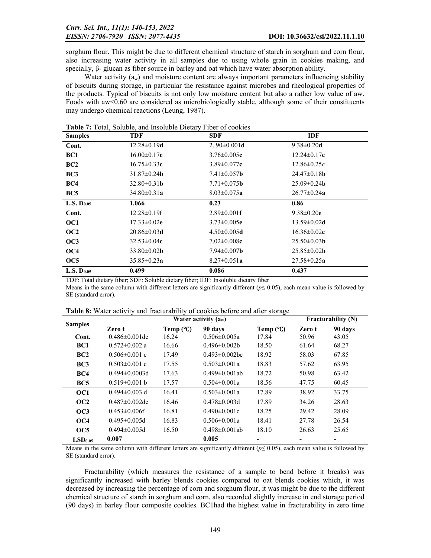sorghum flour. This might be due to different chemical structure of starch in sorghum and corn flour, also increasing water activity in all samples due to using whole grain in cookies making, and specially, β- glucan as fiber source in barley and oat which have water absorption ability.

Water activity  $(a_w)$  and moisture content are always important parameters influencing stability of biscuits during storage, in particular the resistance against microbes and rheological properties of the products. Typical of biscuits is not only low moisture content but also a rather low value of aw. Foods with aw<0.60 are considered as microbiologically stable, although some of their constituents may undergo chemical reactions (Leung, 1987).

| <b>Samples</b>         | TDF                       | <b>SDF</b>                | <b>IDF</b>                |
|------------------------|---------------------------|---------------------------|---------------------------|
| Cont.                  | $12.28 \pm 0.19$ d        | 2. $90\pm0.001d$          | $9.38 \pm 0.20$ d         |
| BC1                    | $16.00 \pm 0.17c$         | $3.76 \pm 0.005c$         | $12.24 \pm 0.17c$         |
| BC <sub>2</sub>        | $16.75 \pm 0.33c$         | $3.89 \pm 0.077c$         | $12.86 \pm 0.25c$         |
| BC <sub>3</sub>        | $31.87 \pm 0.24$ <b>b</b> | $7.41 \pm 0.057$ <b>b</b> | $24.47\pm0.18$ <b>b</b>   |
| BC4                    | $32.80 \pm 0.31$ b        | $7.71 \pm 0.075$ <b>b</b> | $25.09 \pm 0.24$ <b>b</b> |
| BC <sub>5</sub>        | $34.80 \pm 0.31 a$        | $8.03 \pm 0.075a$         | $26.77 \pm 0.24a$         |
| <b>L.S.</b> $D_{0.05}$ | 1.066                     | 0.23                      | 0.86                      |
| Cont.                  | $12.28 \pm 0.19$ <b>f</b> | $2.89 \pm 0.001$ <b>f</b> | $9.38 \pm 0.20e$          |
| OC1                    | $17.33 \pm 0.02e$         | $3.73 \pm 0.005e$         | $13.59 \pm 0.02$ d        |
| OC2                    | $20.86 \pm 0.03$ d        | $4.50 \pm 0.005$ d        | $16.36 \pm 0.02c$         |
| OC3                    | $32.53 \pm 0.04c$         | $7.02 \pm 0.008c$         | $25.50\pm0.03b$           |
| OC <sub>4</sub>        | $33.80 \pm 0.02$ <b>b</b> | $7.94 \pm 0.007$ <b>b</b> | $25.85 \pm 0.02$ <b>b</b> |
| OC5                    | $35.85 \pm 0.23a$         | $8.27 \pm 0.051a$         | $27.58 \pm 0.25a$         |
| L.S. D <sub>0.05</sub> | 0.499                     | 0.086                     | 0.437                     |

Table 7: Total, Soluble, and Insoluble Dietary Fiber of cookies

TDF: Total dietary fiber; SDF: Soluble dietary fiber; IDF: Insoluble dietary fiber

Means in the same column with different letters are significantly different ( $p \le 0.05$ ), each mean value is followed by SE (standard error).

|                     |                      | <b>Fracturability (N)</b> |                      |            |        |         |
|---------------------|----------------------|---------------------------|----------------------|------------|--------|---------|
| <b>Samples</b>      | Zero t               | Temp $(C)$                | 90 days              | Temp $(C)$ | Zero t | 90 days |
| Cont.               | $0.486 \pm 0.001$ de | 16.24                     | $0.506 \pm 0.005a$   | 17.84      | 50.96  | 43.05   |
| BC <sub>1</sub>     | $0.572 \pm 0.002$ a  | 16.66                     | $0.496 \pm 0.002 b$  | 18.50      | 61.64  | 68.27   |
| BC2                 | $0.506 \pm 0.001$ c  | 17.49                     | $0.493 \pm 0.002$ bc | 18.92      | 58.03  | 67.85   |
| BC <sub>3</sub>     | $0.503 \pm 0.001$ c  | 17.55                     | $0.503 \pm 0.001a$   | 18.83      | 57.62  | 63.95   |
| BC4                 | $0.494 \pm 0.0003$ d | 17.63                     | $0.499 \pm 0.001$ ab | 18.72      | 50.98  | 63.42   |
| BC <sub>5</sub>     | $0.519 \pm 0.001$ b  | 17.57                     | $0.504 \pm 0.001a$   | 18.56      | 47.75  | 60.45   |
| OC1                 | $0.494 \pm 0.003$ d  | 16.41                     | $0.503 \pm 0.001a$   | 17.89      | 38.92  | 33.75   |
| OC2                 | $0.487 \pm 0.002$ de | 16.46                     | $0.478 \pm 0.003$ d  | 17.89      | 34.26  | 28.63   |
| OC3                 | $0.453 \pm 0.006$ f  | 16.81                     | $0.490\pm0.001c$     | 18.25      | 29.42  | 28.09   |
| OC <sub>4</sub>     | $0.495 \pm 0.005$ d  | 16.83                     | $0.506 \pm 0.001a$   | 18.41      | 27.78  | 26.54   |
| OC5                 | $0.494 \pm 0.005$ d  | 16.50                     | $0.498 \pm 0.001$ ab | 18.10      | 26.63  | 25.65   |
| LSD <sub>0.05</sub> | 0.007                |                           | 0.005                |            |        |         |

Table 8: Water activity and fracturability of cookies before and after storage

Means in the same column with different letters are significantly different ( $p \le 0.05$ ), each mean value is followed by SE (standard error).

Fracturability (which measures the resistance of a sample to bend before it breaks) was significantly increased with barley blends cookies compared to oat blends cookies which, it was decreased by increasing the percentage of corn and sorghum flour, it was might be due to the different chemical structure of starch in sorghum and corn, also recorded slightly increase in end storage period (90 days) in barley flour composite cookies. BC1had the highest value in fracturability in zero time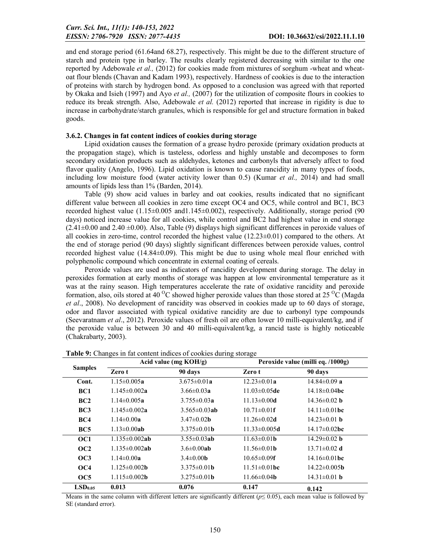and end storage period (61.64and 68.27), respectively. This might be due to the different structure of starch and protein type in barley. The results clearly registered decreasing with similar to the one reported by Adebowale *et al.,* (2012) for cookies made from mixtures of sorghum -wheat and wheatoat flour blends (Chavan and Kadam 1993), respectively. Hardness of cookies is due to the interaction of proteins with starch by hydrogen bond. As opposed to a conclusion was agreed with that reported by Okaka and Isieh (1997) and Ayo *et al.,* (2007) for the utilization of composite flours in cookies to reduce its break strength. Also, Adebowale *et al.* (2012) reported that increase in rigidity is due to increase in carbohydrate/starch granules, which is responsible for gel and structure formation in baked goods.

### 3.6.2. Changes in fat content indices of cookies during storage

Lipid oxidation causes the formation of a grease hydro peroxide (primary oxidation products at the propagation stage), which is tasteless, odorless and highly unstable and decomposes to form secondary oxidation products such as aldehydes, ketones and carbonyls that adversely affect to food flavor quality (Angelo, 1996). Lipid oxidation is known to cause rancidity in many types of foods, including low moisture food (water activity lower than 0.5) (Kumar *et al.,* 2014) and had small amounts of lipids less than 1% (Barden, 2014).

Table (9) show acid values in barley and oat cookies, results indicated that no significant different value between all cookies in zero time except OC4 and OC5, while control and BC1, BC3 recorded highest value (1.15±0.005 and1.145±0.002), respectively. Additionally, storage period (90 days) noticed increase value for all cookies, while control and BC2 had highest value in end storage  $(2.41\pm0.00$  and  $2.40\pm0.00$ ). Also, Table (9) displays high significant differences in peroxide values of all cookies in zero-time, control recorded the highest value  $(12.23\pm0.01)$  compared to the others. At the end of storage period (90 days) slightly significant differences between peroxide values, control recorded highest value (14.84±0.09). This might be due to using whole meal flour enriched with polyphenolic compound which concentrate in external coating of cereals.

Peroxide values are used as indicators of rancidity development during storage. The delay in peroxides formation at early months of storage was happen at low environmental temperature as it was at the rainy season. High temperatures accelerate the rate of oxidative rancidity and peroxide formation, also, oils stored at 40 <sup>o</sup>C showed higher peroxide values than those stored at 25 <sup>o</sup>C (Magda) *et al*., 2008). No development of rancidity was observed in cookies made up to 60 days of storage, odor and flavor associated with typical oxidative rancidity are due to carbonyl type compounds (Seevaratnam *et al*., 2012). Peroxide values of fresh oil are often lower 10 milli-equivalent/kg, and if the peroxide value is between 30 and 40 milli-equivalent/kg, a rancid taste is highly noticeable (Chakrabarty, 2003).

|                     |                            | Acid value ( $mg KOH/g$ ) |                           | Peroxide value (milli eq. /1000g) |
|---------------------|----------------------------|---------------------------|---------------------------|-----------------------------------|
| <b>Samples</b>      | Zero t                     | 90 days                   | Zero t                    | 90 days                           |
| Cont.               | $1.15 \pm 0.005a$          | $3.675 \pm 0.01a$         | $12.23 \pm 0.01a$         | $14.84 \pm 0.09$ a                |
| BC <sub>1</sub>     | $1.145 \pm 0.002a$         | $3.66 \pm 0.03a$          | $11.03 \pm 0.05$ de       | $14.18 \pm 0.04$ bc               |
| BC2                 | $1.14 \pm 0.005a$          | $3.755 \pm 0.03a$         | $11.13 \pm 0.00$ d        | $14.36 \pm 0.02$ b                |
| BC3                 | $1.145 \pm 0.002a$         | $3.565 \pm 0.03$ ab       | $10.71 \pm 0.01$ <b>f</b> | $14.11 \pm 0.01$ bc               |
| BC4                 | $1.14 \pm 0.00a$           | $3.47 \pm 0.02$ <b>b</b>  | $11.26 \pm 0.02$ d        | $14.23 \pm 0.01$ b                |
| BC <sub>5</sub>     | $1.13 \pm 0.00$ ab         | $3.375 \pm 0.01$ b        | $11.33 \pm 0.005d$        | $14.17 \pm 0.02$ bc               |
| OC1                 | $1.135 \pm 0.002$ ab       | $3.55 \pm 0.03$ ab        | $11.63 \pm 0.01$ b        | $14.29 \pm 0.02$ b                |
| OC <sub>2</sub>     | $1.135 \pm 0.002$ ab       | $3.6 \pm 0.00$ ab         | $11.56 \pm 0.01$ b        | $13.71 \pm 0.02$ d                |
| OC3                 | $1.14 \pm 0.00a$           | $3.4 \pm 0.00$ <b>b</b>   | $10.65 \pm 0.09$ <b>f</b> | $14.16\pm0.01$ bc                 |
| OC4                 | $1.125 \pm 0.002$ <b>b</b> | $3.375 \pm 0.01$ b        | $11.51 \pm 0.01$ bc       | $14.22 \pm 0.005$ <b>b</b>        |
| OC <sub>5</sub>     | $1.115 \pm 0.002$ <b>b</b> | $3.275 \pm 0.01$ <b>b</b> | $11.66 \pm 0.04$ <b>b</b> | $14.31 \pm 0.01$ b                |
| LSD <sub>0.05</sub> | 0.013                      | 0.076                     | 0.147                     | 0.142                             |

Table 9: Changes in fat content indices of cookies during storage

Means in the same column with different letters are significantly different ( $p \le 0.05$ ), each mean value is followed by SE (standard error).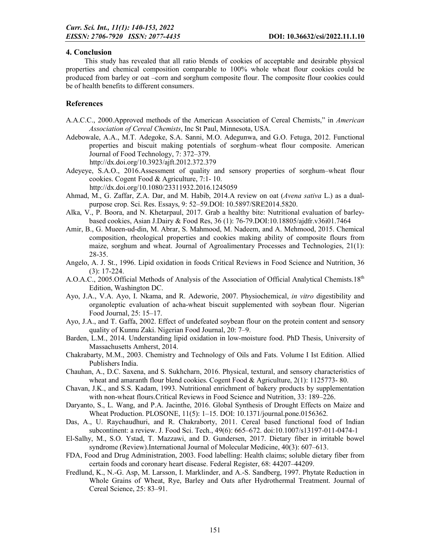## 4. Conclusion

This study has revealed that all ratio blends of cookies of acceptable and desirable physical properties and chemical composition comparable to 100% whole wheat flour cookies could be produced from barley or oat –corn and sorghum composite flour. The composite flour cookies could be of health benefits to different consumers.

### References

- A.A.C.C., 2000.Approved methods of the American Association of Cereal Chemists," in *American Association of Cereal Chemists*, Inc St Paul, Minnesota, USA.
- Adebowale, A.A., M.T. Adegoke, S.A. Sanni, M.O. Adegunwa, and G.O. Fetuga, 2012. Functional properties and biscuit making potentials of sorghum–wheat flour composite. American Journal of Food Technology, 7: 372–379.

http://dx.doi.org/10.3923/ajft.2012.372.379

Adeyeye, S.A.O., 2016.Assessment of quality and sensory properties of sorghum–wheat flour cookies. Cogent Food & Agriculture, 7:1- 10.

http://dx.doi.org/10.1080/23311932.2016.1245059

- Ahmad, M., G. Zaffar, Z.A. Dar, and M. Habib, 2014.A review on oat (*Avena sativa* L.) as a dualpurpose crop. Sci. Res. Essays, 9: 52–59.DOI: 10.5897/SRE2014.5820.
- Alka, V., P. Boora, and N. Khetarpaul, 2017. Grab a healthy bite: Nutritional evaluation of barleybased cookies, Asian J.Dairy & Food Res, 36 (1): 76-79.DOI:10.18805/ajdfr.v36i01.7464
- Amir, B., G. Mueen-ud-din, M. Abrar, S. Mahmood, M. Nadeem, and A. Mehmood, 2015. Chemical composition, rheological properties and cookies making ability of composite flours from maize, sorghum and wheat. Journal of Agroalimentary Processes and Technologies, 21(1): 28-35.
- Angelo, A. J. St., 1996. Lipid oxidation in foods Critical Reviews in Food Science and Nutrition, 36 (3): 17-224.
- A.O.A.C., 2005.Official Methods of Analysis of the Association of Official Analytical Chemists.18<sup>th</sup> Edition, Washington DC.
- Ayo, J.A., V.A. Ayo, I. Nkama, and R. Adeworie, 2007. Physiochemical, *in vitro* digestibility and organoleptic evaluation of acha-wheat biscuit supplemented with soybean flour. Nigerian Food Journal, 25: 15–17.
- Ayo, J.A., and T. Gaffa, 2002. Effect of undefeated soybean flour on the protein content and sensory quality of Kunnu Zaki. Nigerian Food Journal, 20: 7–9.
- Barden, L.M., 2014. Understanding lipid oxidation in low-moisture food. PhD Thesis, University of Massachusetts Amherst, 2014.
- Chakrabarty, M.M., 2003. Chemistry and Technology of Oils and Fats. Volume I Ist Edition. Allied Publishers India.
- Chauhan, A., D.C. Saxena, and S. Sukhcharn, 2016. Physical, textural, and sensory characteristics of wheat and amaranth flour blend cookies. Cogent Food & Agriculture, 2(1): 1125773- 80.
- Chavan, J.K., and S.S. Kadam, 1993. Nutritional enrichment of bakery products by supplementation with non-wheat flours.Critical Reviews in Food Science and Nutrition, 33: 189–226.
- Daryanto, S., L. Wang, and P.A. Jacinthe, 2016. Global Synthesis of Drought Effects on Maize and Wheat Production. PLOSONE, 11(5): 1–15. DOI: 10.1371/journal.pone.0156362.
- Das, A., U. Raychaudhuri, and R. Chakraborty, 2011. Cereal based functional food of Indian subcontinent: a review. J. Food Sci. Tech., 49(6): 665–672. doi:10.1007/s13197-011-0474-1
- El-Salhy, M., S.O. Ystad, T. Mazzawi, and D. Gundersen, 2017. Dietary fiber in irritable bowel syndrome (Review).International Journal of Molecular Medicine, 40(3): 607–613.
- FDA, Food and Drug Administration, 2003. Food labelling: Health claims; soluble dietary fiber from certain foods and coronary heart disease. Federal Register, 68: 44207–44209.
- Fredlund, K., N.-G. Asp, M. Larsson, I. Marklinder, and A.-S. Sandberg, 1997. Phytate Reduction in Whole Grains of Wheat, Rye, Barley and Oats after Hydrothermal Treatment. Journal of Cereal Science, 25: 83–91.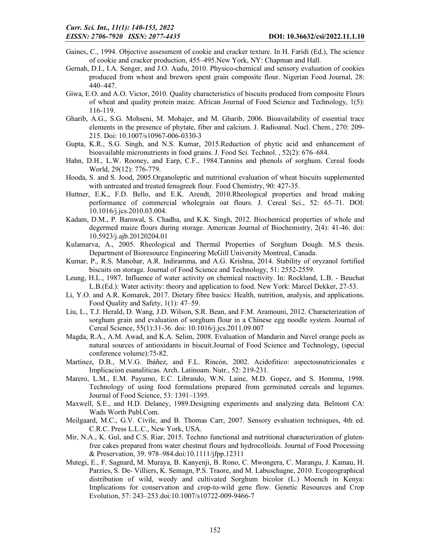- Gaines, C., 1994. Objective assessment of cookie and cracker texture. In H. Faridi (Ed.), The science of cookie and cracker production, 455–495.New York, NY: Chapman and Hall.
- Gernah, D.I., I.A. Senger, and J.O. Audu, 2010. Physico-chemical and sensory evaluation of cookies produced from wheat and brewers spent grain composite flour. Nigerian Food Journal, 28: 440–447.
- Giwa, E.O. and A.O. Victor, 2010. Quality characteristics of biscuits produced from composite Flours of wheat and quality protein maize. African Journal of Food Science and Technology, 1(5): 116-119.
- Gharib, A.G., S.G. Mohseni, M. Mohajer, and M. Gharib, 2006. Bioavailability of essential trace elements in the presence of phytate, fiber and calcium. J. Radioanal. Nucl. Chem., 270: 209- 215. Doi: 10.1007/s10967-006-0330-3
- Gupta, K.R., S.G. Singh, and N.S. Kumar, 2015.Reduction of phytic acid and enhancement of bioavailable micronutrients in food grains. J. Food Sci. Technol. , 52(2): 676–684.
- Hahn, D.H., L.W. Rooney, and Earp, C.F., 1984.Tannins and phenols of sorghum. Cereal foods World, 29(12): 776-779.
- Hooda, S. and S. Jood, 2005.Organoleptic and nutritional evaluation of wheat biscuits supplemented with untreated and treated fenugreek flour. Food Chemistry, 90: 427-35.
- Huttner, E.K., F.D. Bello, and E.K. Arendt, 2010.Rheological properties and bread making performance of commercial wholegrain oat flours. J. Cereal Sci., 52: 65–71. DOI: 10.1016/j.jcs.2010.03.004.
- Kadam, D.M., P. Barnwal, S. Chadha, and K.K. Singh, 2012. Biochemical properties of whole and degermed maize flours during storage. American Journal of Biochemistry, 2(4): 41-46. doi: 10.5923/j.ajb.20120204.01
- Kulamarva, A., 2005. Rheological and Thermal Properties of Sorghum Dough. M.S thesis. Department of Bioresource Engineering McGill University Montreal, Canada.
- Kumar, P., R.S. Manohar, A.R. Indiramma, and A.G. Krishna, 2014. Stability of oryzanol fortified biscuits on storage. Journal of Food Science and Technology, 51: 2552-2559.
- Leung, H.L., 1987. Influence of water activity on chemical reactivity. In: Rockland, L.B. Beuchat L.B.(Ed.): Water activity: theory and application to food. New York: Marcel Dekker, 27-53.
- Li, Y.O. and A.R. Komarek, 2017. Dietary fibre basics: Health, nutrition, analysis, and applications. Food Quality and Safety, 1(1): 47–59.
- Liu, L., T.J. Herald, D. Wang, J.D. Wilson, S.R. Bean, and F.M. Aramouni, 2012. Characterization of sorghum grain and evaluation of sorghum flour in a Chinese egg noodle system. Journal of Cereal Science, 55(1):31-36. doi: 10.1016/j.jcs.2011.09.007
- Magda, R.A., A.M. Awad, and K.A. Selim, 2008. Evaluation of Mandarin and Navel orange peels as natural sources of antioxidants in biscuit.Journal of Food Science and Technology, (special conference volume):75-82.
- Martínez, D.B., M.V.G. Ibáñez, and F.L. Rincón, 2002. Acidofitico: aspectosnutricionales e Implicacion esanaliticas. Arch. Latinoam. Nutr., 52: 219-231.
- Marero, L.M., E.M. Payumo, E.C. Librando, W.N. Laine, M.D. Gopez, and S. Homma, 1998. Technology of using food formulations prepared from germinated cereals and legumes. Journal of Food Science, 53: 1391–1395.
- Maxwell, S.E., and H.D. Delaney, 1989.Designing experiments and analyzing data. Belmont CA: Wads Worth Publ.Com.
- Meilgaard, M.C., G.V. Civile, and B. Thomas Carr, 2007. Sensory evaluation techniques, 4th ed. C.R.C. Press L.L.C., New York, USA.
- Mir, N.A., K. Gul, and C.S. Riar, 2015. Techno functional and nutritional characterization of glutenfree cakes prepared from water chestnut flours and hydrocolloids. Journal of Food Processing & Preservation, 39: 978–984.doi:10.1111/jfpp.12311
- Mutegi, E., F. Sagnard, M. Muraya, B. Kanyenji, B. Rono, C. Mwongera, C. Marangu, J. Kamau, H. Parzies, S. De- Villiers, K. Semagn, P.S. Traore, and M. Labuschagne, 2010. Ecogeographical distribution of wild, weedy and cultivated Sorghum bicolor (L.) Moench in Kenya: Implications for conservation and crop-to-wild gene flow. Genetic Resources and Crop Evolution, 57: 243–253.doi:10.1007/s10722-009-9466-7